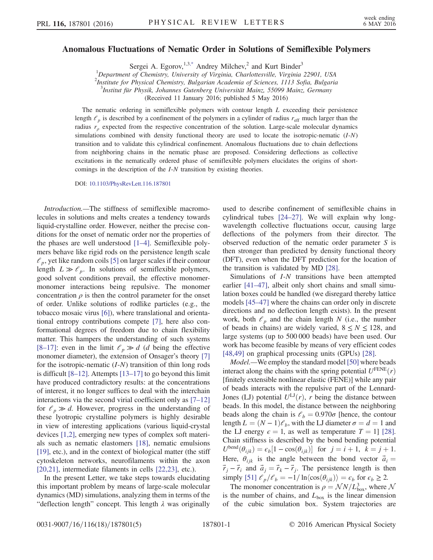## <span id="page-0-0"></span>Anomalous Fluctuations of Nematic Order in Solutions of Semiflexible Polymers

Sergei A. Egorov,<sup>1,[3,\\*](#page-4-0)</sup> Andrey Milchev,<sup>2</sup> and Kurt Binder<sup>3</sup>

<sup>1</sup>Department of Chemistry, University of Virginia, Charlottesville, Virginia 22901, USA

<sup>2</sup>Institute for Physical Chemistry, Bulgarian Academia of Sciences, 1113 Sofia, Bulgaria

3 Institut für Physik, Johannes Gutenberg Universität Mainz, 55099 Mainz, Germany

(Received 11 January 2016; published 5 May 2016)

The nematic ordering in semiflexible polymers with contour length  $L$  exceeding their persistence length  $\ell_p$  is described by a confinement of the polymers in a cylinder of radius  $r_{\text{eff}}$  much larger than the radius  $r<sub>o</sub>$  expected from the respective concentration of the solution. Large-scale molecular dynamics simulations combined with density functional theory are used to locate the isotropic-nematic  $(I-N)$ transition and to validate this cylindrical confinement. Anomalous fluctuations due to chain deflections from neighboring chains in the nematic phase are proposed. Considering deflections as collective excitations in the nematically ordered phase of semiflexible polymers elucidates the origins of shortcomings in the description of the I-N transition by existing theories.

DOI: [10.1103/PhysRevLett.116.187801](http://dx.doi.org/10.1103/PhysRevLett.116.187801)

Introduction.—The stiffness of semiflexible macromolecules in solutions and melts creates a tendency towards liquid-crystalline order. However, neither the precise conditions for the onset of nematic order nor the properties of the phases are well understood [1–[4\].](#page-4-1) Semiflexible polymers behave like rigid rods on the persistence length scale  $\ell_p$ , yet like random coils [\[5\]](#page-4-2) on larger scales if their contour length  $L \gg \ell_p$ . In solutions of semiflexible polymers, good solvent conditions prevail, the effective monomermonomer interactions being repulsive. The monomer concentration  $\rho$  is then the control parameter for the onset of order. Unlike solutions of rodlike particles (e.g., the tobacco mosaic virus [\[6\]](#page-4-3)), where translational and orientational entropy contributions compete [\[7\],](#page-4-4) here also conformational degrees of freedom due to chain flexibility matter. This hampers the understanding of such systems [8–[17\]:](#page-4-5) even in the limit  $\ell_p \gg d$  (d being the effective monomer diameter), the extension of Onsager's theory [\[7\]](#page-4-4) for the isotropic-nematic  $(I-N)$  transition of thin long rods is difficult [8–[12\].](#page-4-5) Attempts [\[13](#page-4-6)–17] to go beyond this limit have produced contradictory results: at the concentrations of interest, it no longer suffices to deal with the interchain interactions via the second virial coefficient only as [7–[12\]](#page-4-4) for  $\ell_p \gg d$ . However, progress in the understanding of these lyotropic crystalline polymers is highly desirable in view of interesting applications (various liquid-crystal devices [\[1,2\],](#page-4-1) emerging new types of complex soft materials such as nematic elastomers [\[18\],](#page-4-7) nematic emulsions [\[19\]](#page-4-8), etc.), and in the context of biological matter (the stiff cytoskeleton networks, neurofilaments within the axon [\[20,21\]](#page-4-9), intermediate filaments in cells [\[22,23\],](#page-4-10) etc.).

In the present Letter, we take steps towards elucidating this important problem by means of large-scale molecular dynamics (MD) simulations, analyzing them in terms of the "deflection length" concept. This length  $\lambda$  was originally used to describe confinement of semiflexible chains in cylindrical tubes [24–[27\]](#page-4-11). We will explain why longwavelength collective fluctuations occur, causing large deflections of the polymers from their director. The observed reduction of the nematic order parameter S is then stronger than predicted by density functional theory (DFT), even when the DFT prediction for the location of the transition is validated by MD [\[28\].](#page-4-12)

Simulations of I-N transitions have been attempted earlier [\[41](#page-4-13)–47], albeit only short chains and small simulation boxes could be handled (we disregard thereby lattice models [45–[47\]](#page-4-14) where the chains can order only in discrete directions and no deflection length exists). In the present work, both  $\ell_p$  and the chain length N (i.e., the number of beads in chains) are widely varied,  $8 \le N \le 128$ , and large systems (up to 500 000 beads) have been used. Our work has become feasible by means of very efficient codes [\[48,49\]](#page-4-15) on graphical processing units (GPUs) [\[28\].](#page-4-12)

Model.—We employ the standard model [\[50\]](#page-4-16) where beads interact along the chains with the spring potential  $U^{\text{FENE}}(r)$ [finitely extensible nonlinear elastic (FENE)] while any pair of beads interacts with the repulsive part of the Lennard-Jones (LJ) potential  $U^{LI}(r)$ , r being the distance between beads. In this model, the distance between the neighboring beads along the chain is  $\ell_b = 0.970\sigma$  [hence, the contour length  $L = (N - 1)\ell_b$ , with the LJ diameter  $\sigma = d = 1$  and the LJ energy  $\epsilon = 1$ , as well as temperature  $T = 1$ ] [\[28\]](#page-4-12). Chain stiffness is described by the bond bending potential  $U^{\text{bend}}(\theta_{ijk}) = \epsilon_b[1 - \cos(\theta_{ijk})]$  for  $j = i + 1, k = j + 1$ . Here,  $\theta_{ijk}$  is the angle between the bond vector  $\vec{a}_i =$  $\vec{r}_j - \vec{r}_i$  and  $\vec{a}_j = \vec{r}_k - \vec{r}_j$ . The persistence length is then simply [\[51\]](#page-4-17)  $\ell_p/\ell_b = -1/\ln \langle \cos(\theta_{ijk}) \rangle = \epsilon_b$  for  $\epsilon_b \ge 2$ .

The monomer concentration is  $\rho = \mathcal{N} N / L_{\text{box}}^3$ , where  $\mathcal{N}$ is the number of chains, and  $L_{\text{box}}$  is the linear dimension of the cubic simulation box. System trajectories are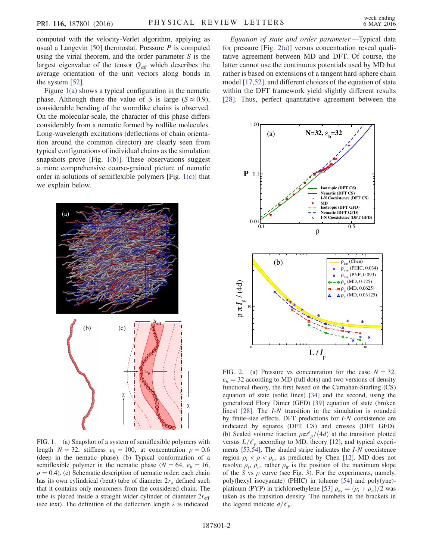computed with the velocity-Verlet algorithm, applying as usual a Langevin [\[50\]](#page-4-16) thermostat. Pressure  $P$  is computed using the virial theorem, and the order parameter  $S$  is the largest eigenvalue of the tensor  $Q_{\alpha\beta}$  which describes the average orientation of the unit vectors along bonds in the system [\[52\]](#page-4-18).

Figure [1\(a\)](#page-1-0) shows a typical configuration in the nematic phase. Although there the value of S is large ( $S \approx 0.9$ ), considerable bending of the wormlike chains is observed. On the molecular scale, the character of this phase differs considerably from a nematic formed by rodlike molecules. Long-wavelength excitations (deflections of chain orientation around the common director) are clearly seen from typical configurations of individual chains as the simulation snapshots prove [Fig. [1\(b\)\]](#page-1-0). These observations suggest a more comprehensive coarse-grained picture of nematic order in solutions of semiflexible polymers [Fig. [1\(c\)](#page-1-0)] that we explain below.

<span id="page-1-0"></span>

FIG. 1. (a) Snapshot of a system of semiflexible polymers with length  $N = 32$ , stiffness  $\epsilon_b = 100$ , at concentration  $\rho = 0.6$ (deep in the nematic phase). (b) Typical conformation of a semiflexible polymer in the nematic phase ( $N = 64$ ,  $\epsilon_b = 16$ ,  $\rho = 0.4$ ). (c) Schematic description of nematic order: each chain has its own cylindrical (bent) tube of diameter  $2r<sub>o</sub>$  defined such that it contains only monomers from the considered chain. The tube is placed inside a straight wider cylinder of diameter  $2r_{\text{eff}}$ (see text). The definition of the deflection length  $\lambda$  is indicated.

Equation of state and order parameter.—Typical data for pressure [Fig. [2\(a\)](#page-1-1)] versus concentration reveal qualitative agreement between MD and DFT. Of course, the latter cannot use the continuous potentials used by MD but rather is based on extensions of a tangent hard-sphere chain model [\[17,52\],](#page-4-19) and different choices of the equation of state within the DFT framework yield slightly different results [\[28\]](#page-4-12). Thus, perfect quantitative agreement between the

<span id="page-1-1"></span>

FIG. 2. (a) Pressure vs concentration for the case  $N = 32$ ,  $\epsilon_b$  = 32 according to MD (full dots) and two versions of density functional theory, the first based on the Carnahan-Starling (CS) equation of state (solid lines) [\[34\]](#page-4-20) and the second, using the generalized Flory Dimer (GFD) [\[39\]](#page-4-21) equation of state (broken lines) [\[28\].](#page-4-12) The I-N transition in the simulation is rounded by finite-size effects. DFT predictions for I-N coexistence are indicated by squares (DFT CS) and crosses (DFT GFD). (b) Scaled volume fraction  $\rho \pi \ell_p/(4d)$  at the transition plotted versus  $L/\ell_p$  according to MD, theory [\[12\],](#page-4-22) and typical experiments [\[53,54\].](#page-4-23) The shaded stripe indicates the I-N coexistence region  $\rho_i < \rho < \rho_n$ , as predicted by Chen [\[12\]](#page-4-22). MD does not resolve  $\rho_i$ ,  $\rho_n$ , rather  $\rho_{tr}$  is the position of the maximum slope of the S vs  $\rho$  curve (see Fig. [3\)](#page-2-0). For the experiments, namely, poly(hexyl isocyanate) (PHIC) in toluene [\[54\]](#page-4-24) and poly(yne)- platinum (PYP) in trichloroethylene [\[53\]](#page-4-23)  $\rho_{\text{av}} = (\rho_i + \rho_n)/2$  was taken as the transition density. The numbers in the brackets in the legend indicate  $d/\ell_p$ .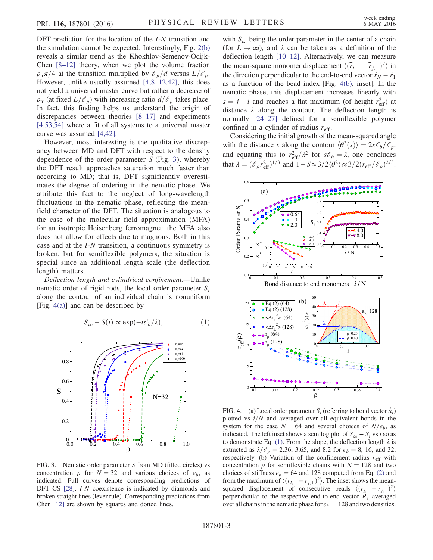DFT prediction for the location of the *I-N* transition and the simulation cannot be expected. Interestingly, Fig. [2\(b\)](#page-1-1) reveals a similar trend as the Khokhlov-Semenov-Odijk-Chen [8–[12\]](#page-4-5) theory, when we plot the volume fraction  $\rho_{tr} \pi/4$  at the transition multiplied by  $\ell_p/d$  versus  $L/\ell_p$ . However, unlike usually assumed [4,8–[12,42\]](#page-4-25), this does not yield a universal master curve but rather a decrease of  $\rho_{tr}$  (at fixed  $L/\ell_p$ ) with increasing ratio  $d/\ell_p$  takes place. In fact, this finding helps us understand the origin of discrepancies between theories [8–[17\]](#page-4-5) and experiments [\[4,53,54\]](#page-4-25) where a fit of all systems to a universal master curve was assumed [\[4,42\].](#page-4-25)

However, most interesting is the qualitative discrepancy between MD and DFT with respect to the density dependence of the order parameter  $S$  (Fig. [3\)](#page-2-0), whereby the DFT result approaches saturation much faster than according to MD; that is, DFT significantly overestimates the degree of ordering in the nematic phase. We attribute this fact to the neglect of long-wavelength fluctuations in the nematic phase, reflecting the meanfield character of the DFT. The situation is analogous to the case of the molecular field approximation (MFA) for an isotropic Heisenberg ferromagnet: the MFA also does not allow for effects due to magnons. Both in this case and at the I-N transition, a continuous symmetry is broken, but for semiflexible polymers, the situation is special since an additional length scale (the deflection length) matters.

<span id="page-2-2"></span>Deflection length and cylindrical confinement.—Unlike nematic order of rigid rods, the local order parameter  $S_i$ along the contour of an individual chain is nonuniform [Fig. [4\(a\)](#page-2-1)] and can be described by

$$
S_{\infty} - S(i) \propto \exp(-i\mathcal{C}_b/\lambda), \tag{1}
$$

<span id="page-2-0"></span>

FIG. 3. Nematic order parameter S from MD (filled circles) vs concentration  $\rho$  for  $N = 32$  and various choices of  $\epsilon_b$ , as indicated. Full curves denote corresponding predictions of DFT CS [\[28\].](#page-4-12) *I-N* coexistence is indicated by diamonds and broken straight lines (lever rule). Corresponding predictions from Chen [\[12\]](#page-4-22) are shown by squares and dotted lines.

with  $S_{\infty}$  being the order parameter in the center of a chain (for  $L \to \infty$ ), and  $\lambda$  can be taken as a definition of the deflection length [10–[12\].](#page-4-26) Alternatively, we can measure the mean-square monomer displacement  $\langle (\vec{r}_{i, \perp} - \vec{r}_{j, \perp})^2 \rangle$  in the direction perpendicular to the end-to-end vector  $\vec{r}_N - \vec{r}_1$ as a function of the bead index [Fig. [4\(b\),](#page-2-1) inset]. In the nematic phase, this displacement increases linearly with  $s = j - i$  and reaches a flat maximum (of height  $r_{\text{eff}}^2$ ) at distance  $\lambda$  along the contour. The deflection length is normally [\[24](#page-4-11)–27] defined for a semiflexible polymer confined in a cylinder of radius  $r_{\text{eff}}$ .

Considering the initial growth of the mean-squared angle with the distance s along the contour  $\langle \theta^2(s) \rangle = 2s \ell_b/\ell_p$ , and equating this to  $r_{\text{eff}}^2/\lambda^2$  for  $s\ell_b = \lambda$ , one concludes that  $\lambda = (\ell_p r_{\text{eff}}^2)^{1/3}$  and  $1 - S \approx 3/2 \langle \theta^2 \rangle \approx 3/2 (r_{\text{eff}}/\ell_p)^{2/3}$ .

<span id="page-2-1"></span>

FIG. 4. (a) Local order parameter  $S_i$  (referring to bond vector  $\vec{a}_i$ ) plotted vs  $i/N$  and averaged over all equivalent bonds in the system for the case  $N = 64$  and several choices of  $N/\epsilon_b$ , as indicated. The left inset shows a semilog plot of  $S_{\infty} - S_i$  vs *i* so as to demonstrate Eq. [\(1\).](#page-2-2) From the slope, the deflection length  $\lambda$  is extracted as  $\lambda/\ell_p = 2.36, 3.65,$  and 8.2 for  $\epsilon_b = 8, 16,$  and 32, respectively. (b) Variation of the confinement radius  $r_{\text{eff}}$  with concentration  $\rho$  for semiflexible chains with  $N = 128$  and two choices of stiffness  $\epsilon_b = 64$  and 128 computed from Eq. [\(2\)](#page-3-0) and from the maximum of  $\langle (r_{i,\perp} - r_{j,\perp})^2 \rangle$ . The inset shows the meansquared displacement of consecutive beads  $\langle (r_{\underline{i},\perp} - r_{j,\perp})^2 \rangle$ perpendicular to the respective end-to-end vector  $R_e$  averaged over all chains in the nematic phase for  $\epsilon_b = 128$  and two densities.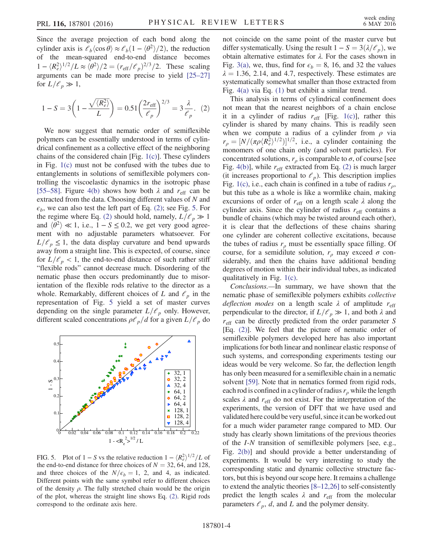Since the average projection of each bond along the cylinder axis is  $\mathcal{C}_b \langle \cos \theta \rangle \approx \mathcal{C}_b (1 - \langle \theta^2 \rangle / 2)$ , the reduction of the mean-squared end-to-end distance becomes  $1 - \langle R_e^2 \rangle^{1/2} / L \approx \langle \theta^2 \rangle / 2 = (r_{\text{eff}} / \ell_p)^{2/3} / 2$ . These scaling arguments can be made more precise to yield [\[25](#page-4-27)–27] for  $L/\ell_p \gg 1$ ,

<span id="page-3-0"></span>
$$
1 - S = 3\left(1 - \frac{\sqrt{\langle R_e^2 \rangle}}{L}\right) = 0.51 \left(\frac{2r_{\text{eff}}}{\ell_p}\right)^{2/3} = 3\frac{\lambda}{\ell_p}.
$$
 (2)

We now suggest that nematic order of semiflexible polymers can be essentially understood in terms of cylindrical confinement as a collective effect of the neighboring chains of the considered chain [Fig. [1\(c\)](#page-1-0)]. These cylinders in Fig. [1\(c\)](#page-1-0) must not be confused with the tubes due to entanglements in solutions of semiflexible polymers controlling the viscoelastic dynamics in the isotropic phase [\[55](#page-4-28)–58]. Figure [4\(b\)](#page-2-1) shows how both  $\lambda$  and  $r_{\text{eff}}$  can be extracted from the data. Choosing different values of N and  $\epsilon_b$ , we can also test the left part of Eq. [\(2\);](#page-3-0) see Fig. [5](#page-3-1). For the regime where Eq. [\(2\)](#page-3-0) should hold, namely,  $L/\ell_p \gg 1$ and  $\langle \theta^2 \rangle \ll 1$ , i.e.,  $1 - S \le 0.2$ , we get very good agreement with no adjustable parameters whatsoever. For  $L/\ell_p \leq 1$ , the data display curvature and bend upwards away from a straight line. This is expected, of course, since for  $L/\ell_p < 1$ , the end-to-end distance of such rather stiff "flexible rods" cannot decrease much. Disordering of the nematic phase then occurs predominantly due to misorientation of the flexible rods relative to the director as a whole. Remarkably, different choices of L and  $\ell_p$  in the representation of Fig. [5](#page-3-1) yield a set of master curves depending on the single parameter  $L/\ell_p$  only. However, different scaled concentrations  $\rho \ell_p/d$  for a given  $L/\ell_p$  do

<span id="page-3-1"></span>

FIG. 5. Plot of  $1 - S$  vs the relative reduction  $1 - \langle R_e^2 \rangle^{1/2} / L$  of the end-to-end distance for three choices of  $N = 32, 64,$  and 128, and three choices of the  $N/\epsilon_b = 1$ , 2, and 4, as indicated. Different points with the same symbol refer to different choices of the density  $\rho$ . The fully stretched chain would be the origin of the plot, whereas the straight line shows Eq. [\(2\).](#page-3-0) Rigid rods correspond to the ordinate axis here.

not coincide on the same point of the master curve but differ systematically. Using the result  $1 - S = 3(\lambda/\ell_p)$ , we obtain alternative estimates for λ. For the cases shown in Fig. [3\(a\),](#page-2-0) we, thus, find for  $\epsilon_b = 8$ , 16, and 32 the values  $\lambda = 1.36, 2.14,$  and 4.7, respectively. These estimates are systematically somewhat smaller than those extracted from Fig. [4\(a\)](#page-2-1) via Eq. [\(1\)](#page-2-2) but exhibit a similar trend.

This analysis in terms of cylindrical confinement does not mean that the nearest neighbors of a chain enclose it in a cylinder of radius  $r_{\text{eff}}$  [Fig. [1\(c\)](#page-1-0)], rather this cylinder is shared by many chains. This is readily seen when we compute a radius of a cylinder from  $\rho$  via  $r_{\rho} = [N/(\pi \rho \langle R_e^2 \rangle^{1/2})]^{1/2}$ , i.e., a cylinder containing the monomers of one chain only (and solvent particles). For concentrated solutions,  $r_{\rho}$  is comparable to  $\sigma$ , of course [see Fig. [4\(b\)\]](#page-2-1), while  $r_{\text{eff}}$  extracted from Eq. [\(2\)](#page-3-0) is much larger (it increases proportional to  $\ell_p$ ). This description implies Fig. [1\(c\),](#page-1-0) i.e., each chain is confined in a tube of radius  $r<sub>o</sub>$ , but this tube as a whole is like a wormlike chain, making excursions of order of  $r_{\text{eff}}$  on a length scale  $\lambda$  along the cylinder axis. Since the cylinder of radius  $r_{\text{eff}}$  contains a bundle of chains (which may be twisted around each other), it is clear that the deflections of these chains sharing one cylinder are coherent collective excitations, because the tubes of radius  $r<sub>o</sub>$  must be essentially space filling. Of course, for a semidilute solution,  $r<sub>\rho</sub>$  may exceed  $\sigma$  considerably, and then the chains have additional bending degrees of motion within their individual tubes, as indicated qualitatively in Fig. [1\(c\).](#page-1-0)

Conclusions.—In summary, we have shown that the nematic phase of semiflexible polymers exhibits collective deflection modes on a length scale  $\lambda$  of amplitude  $r_{\text{eff}}$ perpendicular to the director, if  $L/\ell_p \gg 1$ , and both  $\lambda$  and  $r_{\text{eff}}$  can be directly predicted from the order parameter S [Eq. [\(2\)\]](#page-3-0). We feel that the picture of nematic order of semiflexible polymers developed here has also important implications for both linear and nonlinear elastic response of such systems, and corresponding experiments testing our ideas would be very welcome. So far, the deflection length has only been measured for a semiflexible chain in a nematic solvent [\[59\].](#page-4-29) Note that in nematics formed from rigid rods, each rod is confined in a cylinder of radius  $r<sub>o</sub>$  while the length scales  $\lambda$  and  $r_{\text{eff}}$  do not exist. For the interpretation of the experiments, the version of DFT that we have used and validated here could be very useful, since it can be worked out for a much wider parameter range compared to MD. Our study has clearly shown limitations of the previous theories of the I-N transition of semiflexible polymers [see, e.g., Fig. [2\(b\)](#page-1-1)] and should provide a better understanding of experiments. It would be very interesting to study the corresponding static and dynamic collective structure factors, but this is beyond our scope here. It remains a challenge to extend the analytic theories [8–[12,26\]](#page-4-5) to self-consistently predict the length scales  $\lambda$  and  $r_{\text{eff}}$  from the molecular parameters  $\ell_p$ , d, and L and the polymer density.